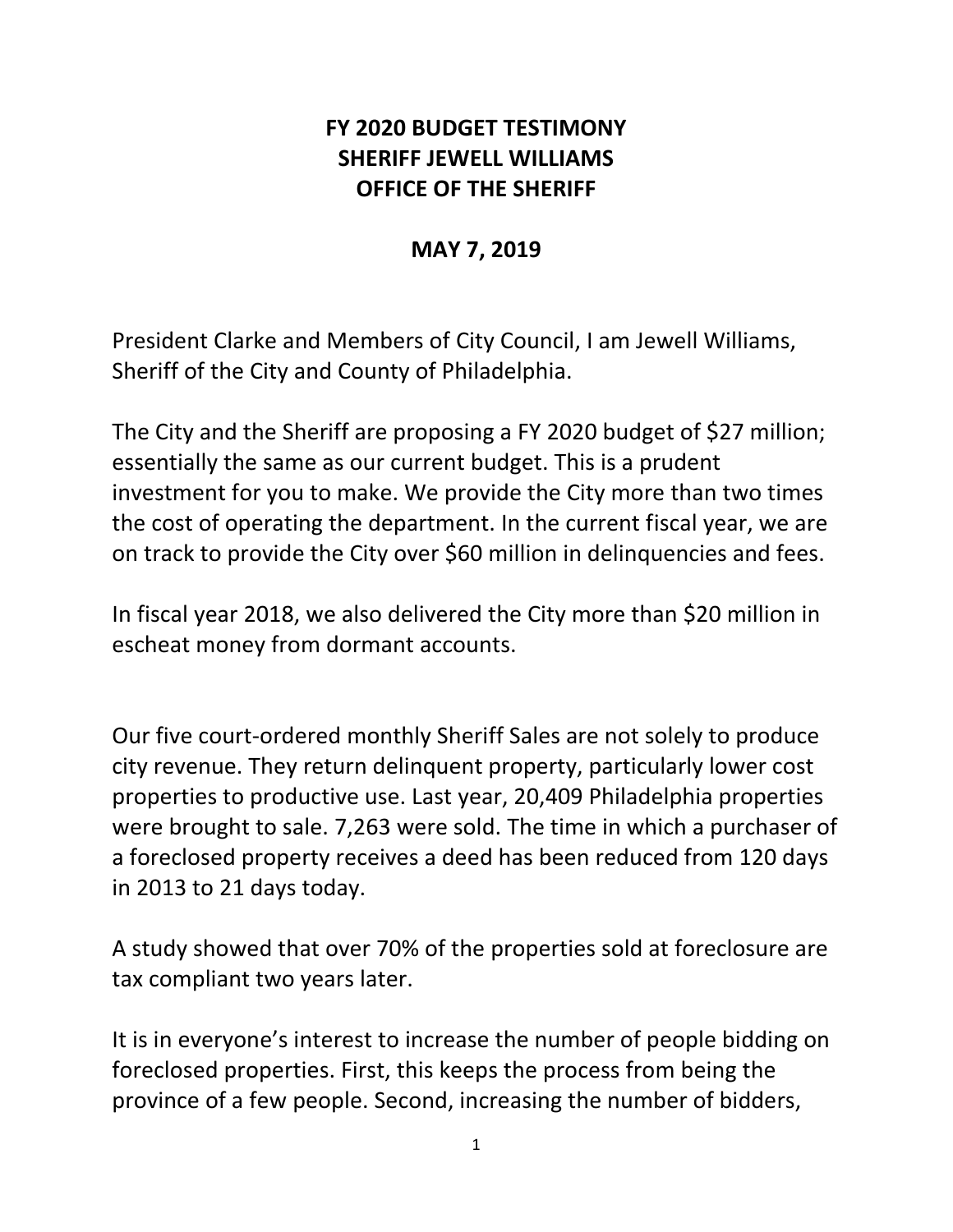## **FY 2020 BUDGET TESTIMONY SHERIFF JEWELL WILLIAMS OFFICE OF THE SHERIFF**

## **MAY 7, 2019**

President Clarke and Members of City Council, I am Jewell Williams, Sheriff of the City and County of Philadelphia.

The City and the Sheriff are proposing a FY 2020 budget of \$27 million; essentially the same as our current budget. This is a prudent investment for you to make. We provide the City more than two times the cost of operating the department. In the current fiscal year, we are on track to provide the City over \$60 million in delinquencies and fees.

In fiscal year 2018, we also delivered the City more than \$20 million in escheat money from dormant accounts.

Our five court-ordered monthly Sheriff Sales are not solely to produce city revenue. They return delinquent property, particularly lower cost properties to productive use. Last year, 20,409 Philadelphia properties were brought to sale. 7,263 were sold. The time in which a purchaser of a foreclosed property receives a deed has been reduced from 120 days in 2013 to 21 days today.

A study showed that over 70% of the properties sold at foreclosure are tax compliant two years later.

It is in everyone's interest to increase the number of people bidding on foreclosed properties. First, this keeps the process from being the province of a few people. Second, increasing the number of bidders,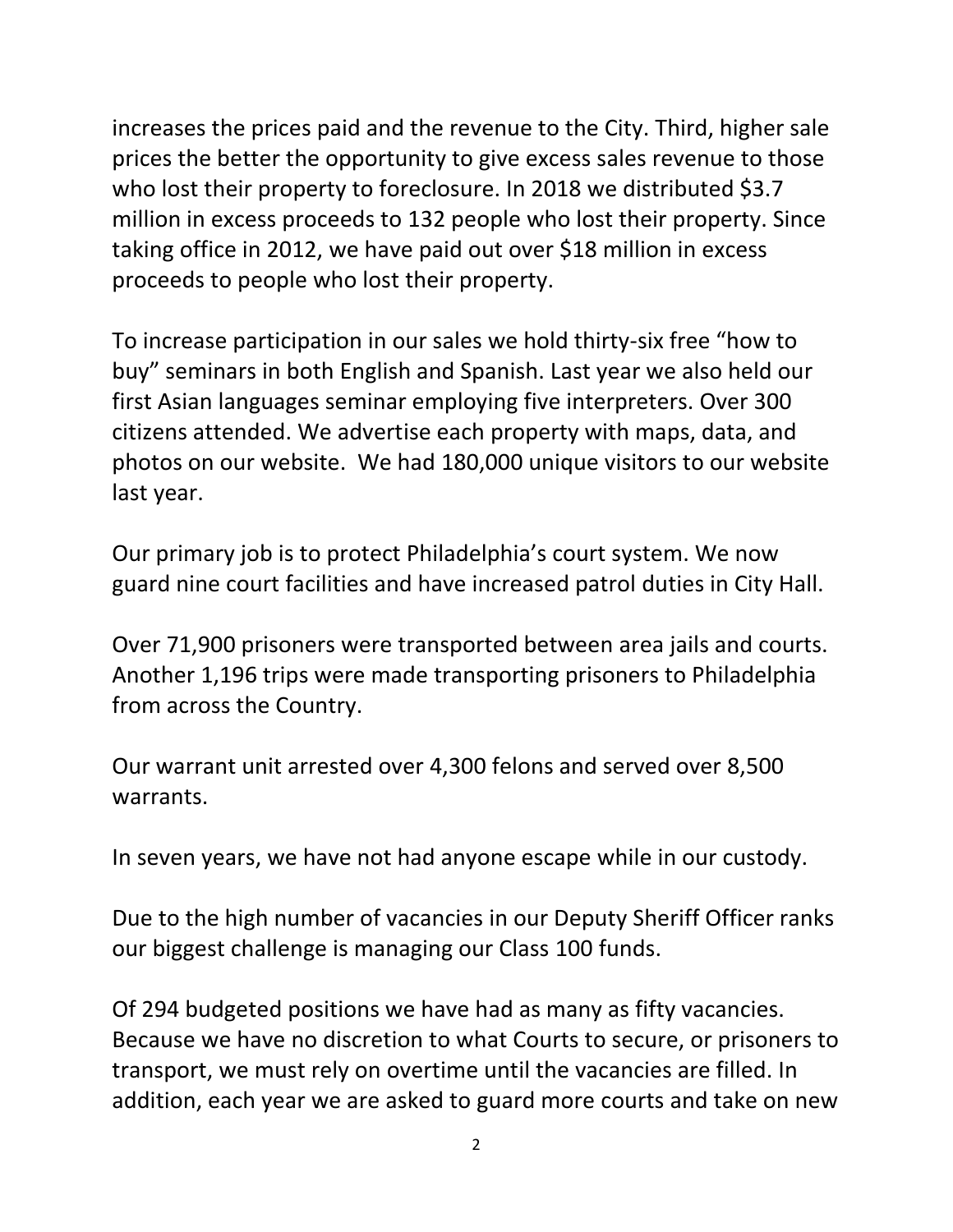increases the prices paid and the revenue to the City. Third, higher sale prices the better the opportunity to give excess sales revenue to those who lost their property to foreclosure. In 2018 we distributed \$3.7 million in excess proceeds to 132 people who lost their property. Since taking office in 2012, we have paid out over \$18 million in excess proceeds to people who lost their property.

To increase participation in our sales we hold thirty-six free "how to buy" seminars in both English and Spanish. Last year we also held our first Asian languages seminar employing five interpreters. Over 300 citizens attended. We advertise each property with maps, data, and photos on our website. We had 180,000 unique visitors to our website last year.

Our primary job is to protect Philadelphia's court system. We now guard nine court facilities and have increased patrol duties in City Hall.

Over 71,900 prisoners were transported between area jails and courts. Another 1,196 trips were made transporting prisoners to Philadelphia from across the Country.

Our warrant unit arrested over 4,300 felons and served over 8,500 warrants.

In seven years, we have not had anyone escape while in our custody.

Due to the high number of vacancies in our Deputy Sheriff Officer ranks our biggest challenge is managing our Class 100 funds.

Of 294 budgeted positions we have had as many as fifty vacancies. Because we have no discretion to what Courts to secure, or prisoners to transport, we must rely on overtime until the vacancies are filled. In addition, each year we are asked to guard more courts and take on new